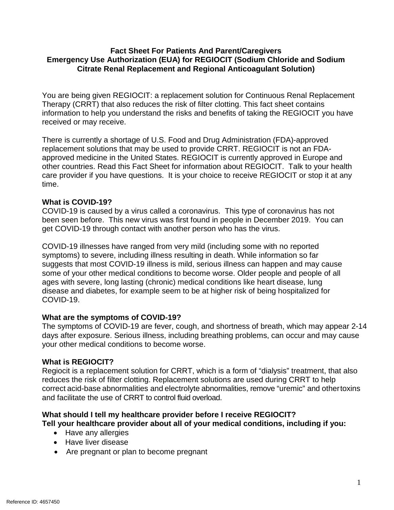### **Fact Sheet For Patients And Parent/Caregivers Emergency Use Authorization (EUA) for REGIOCIT (Sodium Chloride and Sodium Citrate Renal Replacement and Regional Anticoagulant Solution)**

You are being given REGIOCIT: a replacement solution for Continuous Renal Replacement Therapy (CRRT) that also reduces the risk of filter clotting. This fact sheet contains information to help you understand the risks and benefits of taking the REGIOCIT you have received or may receive.

There is currently a shortage of U.S. Food and Drug Administration (FDA)-approved replacement solutions that may be used to provide CRRT. REGIOCIT is not an FDAapproved medicine in the United States. REGIOCIT is currently approved in Europe and other countries. Read this Fact Sheet for information about REGIOCIT. Talk to your health care provider if you have questions. It is your choice to receive REGIOCIT or stop it at any time.

## **What is COVID-19?**

COVID-19 is caused by a virus called a coronavirus. This type of coronavirus has not been seen before. This new virus was first found in people in December 2019. You can get COVID-19 through contact with another person who has the virus.

COVID-19 illnesses have ranged from very mild (including some with no reported symptoms) to severe, including illness resulting in death. While information so far suggests that most COVID-19 illness is mild, serious illness can happen and may cause some of your other medical conditions to become worse. Older people and people of all ages with severe, long lasting (chronic) medical conditions like heart disease, lung disease and diabetes, for example seem to be at higher risk of being hospitalized for COVID-19.

### **What are the symptoms of COVID-19?**

The symptoms of COVID-19 are fever, cough, and shortness of breath, which may appear 2-14 days after exposure. Serious illness, including breathing problems, can occur and may cause your other medical conditions to become worse.

### **What is REGIOCIT?**

Regiocit is a replacement solution for CRRT, which is a form of "dialysis" treatment, that also reduces the risk of filter clotting. Replacement solutions are used during CRRT to help correct acid-base abnormalities and electrolyte abnormalities, remove "uremic" and othertoxins and facilitate the use of CRRT to control fluid overload.

#### **What should I tell my healthcare provider before I receive REGIOCIT? Tell your healthcare provider about all of your medical conditions, including if you:**

- Have any allergies
- Have liver disease
- Are pregnant or plan to become pregnant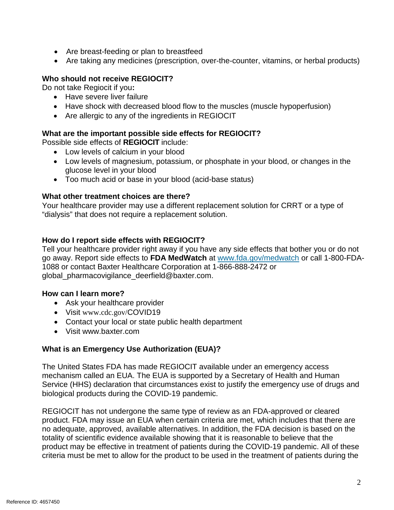- Are breast-feeding or plan to breastfeed
- Are taking any medicines (prescription, over-the-counter, vitamins, or herbal products)

# **Who should not receive REGIOCIT?**

Do not take Regiocit if you**:** 

- Have severe liver failure
- Have shock with decreased blood flow to the muscles (muscle hypoperfusion)
- Are allergic to any of the ingredients in REGIOCIT

### **What are the important possible side effects for REGIOCIT?**

Possible side effects of **REGIOCIT** include:

- Low levels of calcium in your blood
- Low levels of magnesium, potassium, or phosphate in your blood, or changes in the glucose level in your blood
- Too much acid or base in your blood (acid-base status)

### **What other treatment choices are there?**

Your healthcare provider may use a different replacement solution for CRRT or a type of "dialysis" that does not require a replacement solution.

### **How do I report side effects with REGIOCIT?**

Tell your healthcare provider right away if you have any side effects that bother you or do not go away. Report side effects to **FDA MedWatch** at [www.fda.gov/medwatch](http://www.fda.gov/medwatch) [or call 1-800-FDA-](http://www.fda.gov/medwatch%20or%20call%201-800-FDA-1088)[1088](http://www.fda.gov/medwatch%20or%20call%201-800-FDA-1088) or contact Baxter Healthcare Corporation at 1-866-888-2472 or global\_pharmacovigilance\_deerfield@baxter.com.

### **How can I learn more?**

- Ask your healthcare provider
- Visit www.cdc.gov/COVID19
- Contact your local or state public health department
- Visit www.baxter.com

### **What is an Emergency Use Authorization (EUA)?**

The United States FDA has made REGIOCIT available under an emergency access mechanism called an EUA. The EUA is supported by a Secretary of Health and Human Service (HHS) declaration that circumstances exist to justify the emergency use of drugs and biological products during the COVID-19 pandemic.

REGIOCIT has not undergone the same type of review as an FDA-approved or cleared product. FDA may issue an EUA when certain criteria are met, which includes that there are no adequate, approved, available alternatives. In addition, the FDA decision is based on the totality of scientific evidence available showing that it is reasonable to believe that the product may be effective in treatment of patients during the COVID-19 pandemic. All of these criteria must be met to allow for the product to be used in the treatment of patients during the